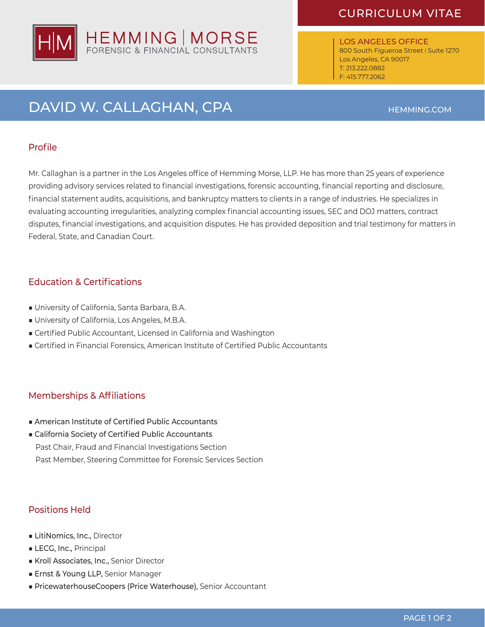# HEMMING | MORSE

### CURRICULUM VITAE

LOS ANGELES OFFICE 800 South Figueroa Street I Suite 1270 Los Angeles, CA 90017 T: 213.222.0882 F: 415.777.2062

## DAVID W. CALLAGHAN, CPA **HEMMING.COM**

### Profile

Mr. Callaghan is a partner in the Los Angeles office of Hemming Morse, LLP. He has more than 25 years of experience providing advisory services related to financial investigations, forensic accounting, financial reporting and disclosure, financial statement audits, acquisitions, and bankruptcy matters to clients in a range of industries. He specializes in evaluating accounting irregularities, analyzing complex financial accounting issues, SEC and DOJ matters, contract disputes, financial investigations, and acquisition disputes. He has provided deposition and trial testimony for matters in Federal, State, and Canadian Court.

### Education & Certifications

- University of California, Santa Barbara, B.A.
- University of California, Los Angeles, M.B.A.
- Certified Public Accountant, Licensed in California and Washington
- Certified in Financial Forensics, American Institute of Certified Public Accountants

### Memberships & Affiliations

- American Institute of Certified Public Accountants
- California Society of Certified Public Accountants Past Chair, Fraud and Financial Investigations Section Past Member, Steering Committee for Forensic Services Section

### Positions Held

- LitiNomics, Inc., Director
- LECG, Inc., Principal
- Kroll Associates, Inc., Senior Director
- Ernst & Young LLP, Senior Manager
- PricewaterhouseCoopers (Price Waterhouse), Senior Accountant